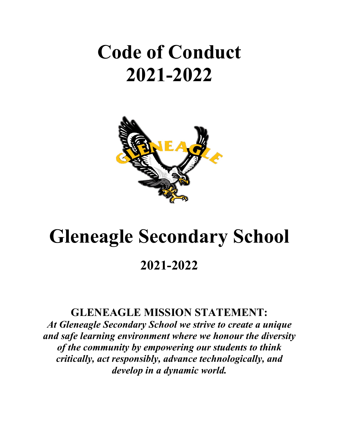## **Code of Conduct 2021-2022**



# **Gleneagle Secondary School**

## **2021-2022**

### **GLENEAGLE MISSION STATEMENT:**

*At Gleneagle Secondary School we strive to create a unique and safe learning environment where we honour the diversity of the community by empowering our students to think critically, act responsibly, advance technologically, and develop in a dynamic world.*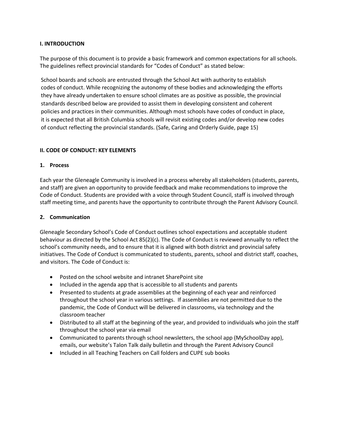#### **I. INTRODUCTION**

The purpose of this document is to provide a basic framework and common expectations for all schools. The guidelines reflect provincial standards for "Codes of Conduct" as stated below:

School boards and schools are entrusted through the School Act with authority to establish codes of conduct. While recognizing the autonomy of these bodies and acknowledging the efforts they have already undertaken to ensure school climates are as positive as possible, the provincial standards described below are provided to assist them in developing consistent and coherent policies and practices in their communities. Although most schools have codes of conduct in place, it is expected that all British Columbia schools will revisit existing codes and/or develop new codes of conduct reflecting the provincial standards. (Safe, Caring and Orderly Guide, page 15)

#### **II. CODE OF CONDUCT: KEY ELEMENTS**

#### **1. Process**

Each year the Gleneagle Community is involved in a process whereby all stakeholders (students, parents, and staff) are given an opportunity to provide feedback and make recommendations to improve the Code of Conduct. Students are provided with a voice through Student Council, staff is involved through staff meeting time, and parents have the opportunity to contribute through the Parent Advisory Council.

#### **2. Communication**

Gleneagle Secondary School's Code of Conduct outlines school expectations and acceptable student behaviour as directed by the School Act 85(2)(c). The Code of Conduct is reviewed annually to reflect the school's community needs, and to ensure that it is aligned with both district and provincial safety initiatives. The Code of Conduct is communicated to students, parents, school and district staff, coaches, and visitors. The Code of Conduct is:

- Posted on the school website and intranet SharePoint site
- Included in the agenda app that is accessible to all students and parents
- Presented to students at grade assemblies at the beginning of each year and reinforced throughout the school year in various settings. If assemblies are not permitted due to the pandemic, the Code of Conduct will be delivered in classrooms, via technology and the classroom teacher
- Distributed to all staff at the beginning of the year, and provided to individuals who join the staff throughout the school year via email
- Communicated to parents through school newsletters, the school app (MySchoolDay app), emails, our website's Talon Talk daily bulletin and through the Parent Advisory Council
- Included in all Teaching Teachers on Call folders and CUPE sub books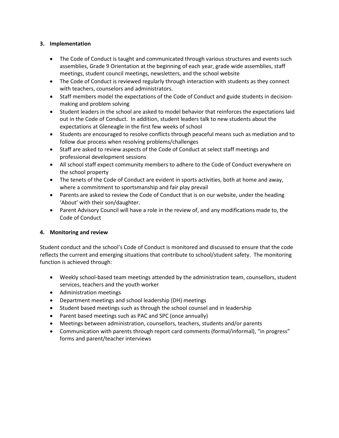#### **3. Implementation**

- The Code of Conduct is taught and communicated through various structures and events such assemblies, Grade 9 Orientation at the beginning of each year, grade wide assemblies, staff meetings, student council meetings, newsletters, and the school website
- The Code of Conduct is reviewed regularly through interaction with students as they connect with teachers, counselors and administrators.
- Staff members model the expectations of the Code of Conduct and guide students in decisionmaking and problem solving
- Student leaders in the school are asked to model behavior that reinforces the expectations laid out in the Code of Conduct. In addition, student leaders talk to new students about the expectations at Gleneagle in the first few weeks of school
- Students are encouraged to resolve conflicts through peaceful means such as mediation and to follow due process when resolving problems/challenges
- Staff are asked to review aspects of the Code of Conduct at select staff meetings and professional development sessions
- All school staff expect community members to adhere to the Code of Conduct everywhere on the school property
- The tenets of the Code of Conduct are evident in sports activities, both at home and away, where a commitment to sportsmanship and fair play prevail
- Parents are asked to review the Code of Conduct that is on our website, under the heading 'About' with their son/daughter.
- Parent Advisory Council will have a role in the review of, and any modifications made to, the Code of Conduct

#### **4. Monitoring and review**

Student conduct and the school's Code of Conduct is monitored and discussed to ensure that the code reflects the current and emerging situations that contribute to school/student safety. The monitoring function is achieved through:

- Weekly school-based team meetings attended by the administration team, counsellors, student services, teachers and the youth worker
- Administration meetings
- Department meetings and school leadership (DH) meetings
- Student based meetings such as through the school counsel and in leadership
- Parent based meetings such as PAC and SPC (once annually)
- Meetings between administration, counsellors, teachers, students and/or parents
- Communication with parents through report card comments (formal/informal), "in progress" forms and parent/teacher interviews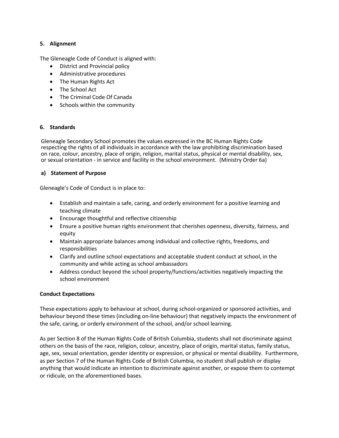#### **5. Alignment**

The Gleneagle Code of Conduct is aligned with:

- District and Provincial policy
- Administrative procedures
- The Human Rights Act
- The School Act
- The Criminal Code Of Canada
- Schools within the community

#### **6. Standards**

Gleneagle Secondary School promotes the values expressed in the BC Human Rights Code respecting the rights of all individuals in accordance with the law prohibiting discrimination based on race, colour, ancestry, place of origin, religion, marital status, physical or mental disability, sex, or sexual orientation - in service and facility in the school environment. (Ministry Order 6a)

#### **a) Statement of Purpose**

Gleneagle's Code of Conduct is in place to:

- Establish and maintain a safe, caring, and orderly environment for a positive learning and teaching climate
- Encourage thoughtful and reflective citizenship
- Ensure a positive human rights environment that cherishes openness, diversity, fairness, and equity
- Maintain appropriate balances among individual and collective rights, freedoms, and responsibilities
- Clarify and outline school expectations and acceptable student conduct at school, in the community and while acting as school ambassadors
- Address conduct beyond the school property/functions/activities negatively impacting the school environment

#### **Conduct Expectations**

These expectations apply to behaviour at school, during school-organized or sponsored activities, and behaviour beyond these times (including on-line behaviour) that negatively impacts the environment of the safe, caring, or orderly environment of the school, and/or school learning.

As per Section 8 of the Human Rights Code of British Columbia, students shall not discriminate against others on the basis of the race, religion, colour, ancestry, place of origin, marital status, family status, age, sex, sexual orientation, gender identity or expression, or physical or mental disability. Furthermore, as per Section 7 of the Human Rights Code of British Columbia, no student shall publish or display anything that would indicate an intention to discriminate against another, or expose them to contempt or ridicule, on the aforementioned bases.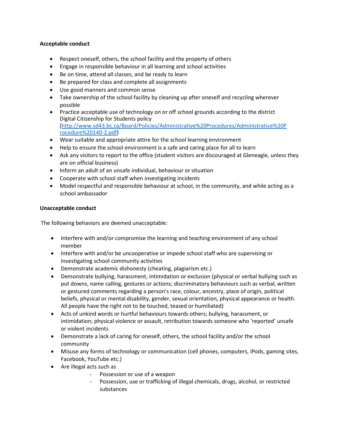#### **Acceptable conduct**

- Respect oneself, others, the school facility and the property of others
- Engage in responsible behaviour in all learning and school activities
- Be on time, attend all classes, and be ready to learn
- Be prepared for class and complete all assignments
- Use good manners and common sense
- Take ownership of the school facility by cleaning up after oneself and recycling wherever possible
- Practice acceptable use of technology on or off school grounds according to the district Digital Citizenship for Students policy [\(http://www.sd43.bc.ca/Board/Policies/Administrative%20Procedures/Administrative%20P](http://www.sd43.bc.ca/Board/Policies/Administrative%20Procedures/Administrative%20Procedure%20140-2.pdf) [rocedure%20140-2.pdf\)](http://www.sd43.bc.ca/Board/Policies/Administrative%20Procedures/Administrative%20Procedure%20140-2.pdf)
- Wear suitable and appropriate attire for the school learning environment
- Help to ensure the school environment is a safe and caring place for all to learn
- Ask any visitors to report to the office (student visitors are discouraged at Gleneagle, unless they are on official business)
- Inform an adult of an unsafe individual, behaviour or situation
- Cooperate with school staff when investigating incidents
- Model respectful and responsible behaviour at school, in the community, and while acting as a school ambassador

#### **Unacceptable conduct**

The following behaviors are deemed unacceptable*:*

- Interfere with and/or compromise the learning and teaching environment of any school member
- Interfere with and/or be uncooperative or impede school staff who are supervising or investigating school community activities
- Demonstrate academic dishonesty (cheating, plagiarism etc.)
- Demonstrate bullying, harassment, intimidation or exclusion (physical or verbal bullying such as put downs, name calling, gestures or actions; discriminatory behaviours such as verbal, written or gestured comments regarding a person's race, colour, ancestry, place of origin, political beliefs, physical or mental disability, gender, sexual orientation, physical appearance or health. All people have the right not to be touched, teased or humiliated)
- Acts of unkind words or hurtful behaviours towards others; bullying, harassment, or intimidation; physical violence or assault, retribution towards someone who 'reported' unsafe or violent incidents
- Demonstrate a lack of caring for oneself, others, the school facility and/or the school community
- Misuse any forms of technology or communication (cell phones, computers, iPods, gaming sites, Facebook, YouTube etc.)
- Are illegal acts such as
	- Possession or use of a weapon
	- Possession, use or trafficking of illegal chemicals, drugs, alcohol, or restricted substances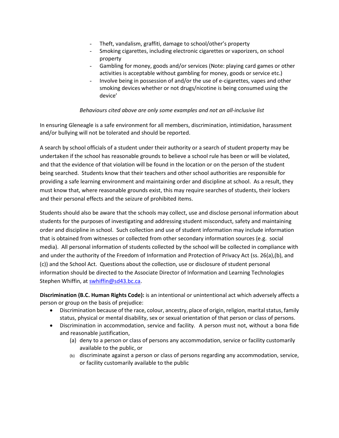- Theft, vandalism, graffiti, damage to school/other's property
- Smoking cigarettes, including electronic cigarettes or vaporizers, on school property
- Gambling for money, goods and/or services (Note: playing card games or other activities is acceptable without gambling for money, goods or service etc.)
- Involve being in possession of and/or the use of e-cigarettes, vapes and other smoking devices whether or not drugs/nicotine is being consumed using the device'

#### *Behaviours cited above are only some examples and not an all-inclusive list*

In ensuring Gleneagle is a safe environment for all members, discrimination, intimidation, harassment and/or bullying will not be tolerated and should be reported.

A search by school officials of a student under their authority or a search of student property may be undertaken if the school has reasonable grounds to believe a school rule has been or will be violated, and that the evidence of that violation will be found in the location or on the person of the student being searched. Students know that their teachers and other school authorities are responsible for providing a safe learning environment and maintaining order and discipline at school. As a result, they must know that, where reasonable grounds exist, this may require searches of students, their lockers and their personal effects and the seizure of prohibited items.

Students should also be aware that the schools may collect, use and disclose personal information about students for the purposes of investigating and addressing student misconduct, safety and maintaining order and discipline in school. Such collection and use of student information may include information that is obtained from witnesses or collected from other secondary information sources (e.g. social media). All personal information of students collected by the school will be collected in compliance with and under the authority of the Freedom of Information and Protection of Privacy Act (ss. 26(a),(b), and (c)) and the School Act. Questions about the collection, use or disclosure of student personal information should be directed to the Associate Director of Information and Learning Technologies Stephen Whiffin, at [swhiffin@sd43.bc.ca.](mailto:swhiffin@sd43.bc.ca)

**Discrimination (B.C. Human Rights Code):** is an intentional or unintentional act which adversely affects a person or group on the basis of prejudice:

- Discrimination because of the race, colour, ancestry, place of origin, religion, marital status, family status, physical or mental disability, sex or sexual orientation of that person or class of persons.
- Discrimination in accommodation, service and facility*.* A person must not, without a bona fide and reasonable justification,
	- (a) deny to a person or class of persons any accommodation, service or facility customarily available to the public, or
	- (b) discriminate against a person or class of persons regarding any accommodation, service, or facility customarily available to the public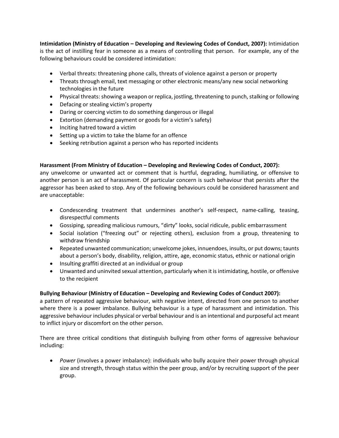**Intimidation (Ministry of Education – Developing and Reviewing Codes of Conduct, 2007):** Intimidation is the act of instilling fear in someone as a means of controlling that person. For example, any of the following behaviours could be considered intimidation:

- Verbal threats: threatening phone calls, threats of violence against a person or property
- Threats through email, text messaging or other electronic means/any new social networking technologies in the future
- Physical threats: showing a weapon or replica, jostling, threatening to punch, stalking or following
- Defacing or stealing victim's property
- Daring or coercing victim to do something dangerous or illegal
- Extortion (demanding payment or goods for a victim's safety)
- Inciting hatred toward a victim
- Setting up a victim to take the blame for an offence
- Seeking retribution against a person who has reported incidents

#### **Harassment (From Ministry of Education – Developing and Reviewing Codes of Conduct, 2007):**

any unwelcome or unwanted act or comment that is hurtful, degrading, humiliating, or offensive to another person is an act of harassment. Of particular concern is such behaviour that persists after the aggressor has been asked to stop. Any of the following behaviours could be considered harassment and are unacceptable:

- Condescending treatment that undermines another's self-respect, name-calling, teasing, disrespectful comments
- Gossiping, spreading malicious rumours, "dirty" looks, social ridicule, public embarrassment
- Social isolation ("freezing out" or rejecting others), exclusion from a group, threatening to withdraw friendship
- Repeated unwanted communication; unwelcome jokes, innuendoes, insults, or put downs; taunts about a person's body, disability, religion, attire, age, economic status, ethnic or national origin
- Insulting graffiti directed at an individual or group
- Unwanted and uninvited sexual attention, particularly when it is intimidating, hostile, or offensive to the recipient

#### **Bullying Behaviour (Ministry of Education – Developing and Reviewing Codes of Conduct 2007):**

a pattern of repeated aggressive behaviour, with negative intent, directed from one person to another where there is a power imbalance. Bullying behaviour is a type of harassment and intimidation. This aggressive behaviour includes physical or verbal behaviour and is an intentional and purposeful act meant to inflict injury or discomfort on the other person.

There are three critical conditions that distinguish bullying from other forms of aggressive behaviour including:

• *Power* (involves a power imbalance): individuals who bully acquire their power through physical size and strength, through status within the peer group, and/or by recruiting support of the peer group.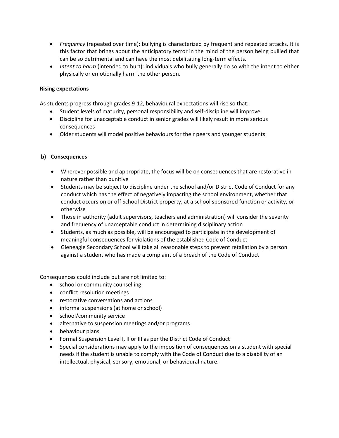- *Frequency* (repeated over time): bullying is characterized by frequent and repeated attacks. It is this factor that brings about the anticipatory terror in the mind of the person being bullied that can be so detrimental and can have the most debilitating long-term effects.
- *Intent to harm* (intended to hurt): individuals who bully generally do so with the intent to either physically or emotionally harm the other person.

#### **Rising expectations**

As students progress through grades 9-12, behavioural expectations will rise so that:

- Student levels of maturity, personal responsibility and self-discipline will improve
- Discipline for unacceptable conduct in senior grades will likely result in more serious consequences
- Older students will model positive behaviours for their peers and younger students

#### **b) Consequences**

- Wherever possible and appropriate, the focus will be on consequences that are restorative in nature rather than punitive
- Students may be subject to discipline under the school and/or District Code of Conduct for any conduct which has the effect of negatively impacting the school environment, whether that conduct occurs on or off School District property, at a school sponsored function or activity, or otherwise
- Those in authority (adult supervisors, teachers and administration) will consider the severity and frequency of unacceptable conduct in determining disciplinary action
- Students, as much as possible, will be encouraged to participate in the development of meaningful consequences for violations of the established Code of Conduct
- Gleneagle Secondary School will take all reasonable steps to prevent retaliation by a person against a student who has made a complaint of a breach of the Code of Conduct

Consequences could include but are not limited to:

- school or community counselling
- conflict resolution meetings
- restorative conversations and actions
- informal suspensions (at home or school)
- school/community service
- alternative to suspension meetings and/or programs
- behaviour plans
- Formal Suspension Level I, II or III as per the District Code of Conduct
- Special considerations may apply to the imposition of consequences on a student with special needs if the student is unable to comply with the Code of Conduct due to a disability of an intellectual, physical, sensory, emotional, or behavioural nature.